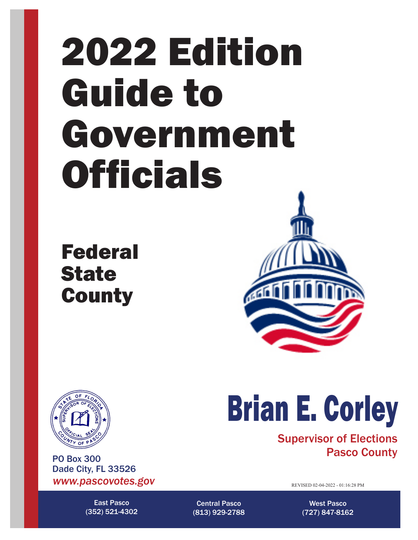# 2022 Edition Guide to Government **Officials**

Federal **State County** 





*www.pascovotes.gov* PO Box 300 Dade City, FL 33526

> East Pasco (352) 521-4302

# Brian E. Corley

Supervisor of Elections Pasco County

REVISED 02-04-2022 - 01:16:28 PM

Central Pasco (813) 929-2788

West Pasco (727) 847-8162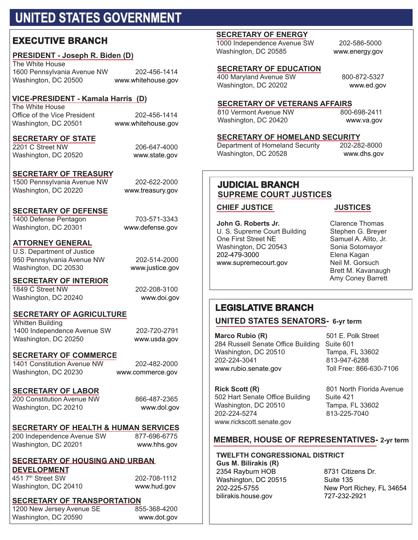# **UNITED STATES GOVERNMENT**

## **EXECUTIVE BRANCH**

#### **PRESIDENT - Joseph R. Biden (D)**

The White House 1600 Pennsylvania Avenue NW 202-456-1414 Washington, DC 20500 www.whitehouse.gov

## **VICE-PRESIDENT - Kamala Harris (D)**

The White House Office of the Vice President 202-456-1414 Washington, DC 20501 www.whitehouse.gov

#### **SECRETARY OF STATE**

2201 C Street NW 206-647-4000 Washington, DC 20520 www.state.gov

#### **SECRETARY OF TREASURY**

1500 Pennsylvania Avenue NW 202-622-2000 Washington, DC 20220 www.treasury.gov

#### **SECRETARY OF DEFENSE**

1400 Defense Pentagon 703-571-3343 Washington, DC 20301 www.defense.gov

**ATTORNEY GENERAL** 

U.S. Department of Justice 950 Pennsylvania Avenue NW 202-514-2000 Washington, DC 20530 www.justice.gov

#### **SECRETARY OF INTERIOR**  1849 C Street NW 202-208-3100

Washington, DC 20240 www.doi.gov

#### **SECRETARY OF AGRICULTURE**

Whitten Building 1400 Independence Avenue SW 202-720-2791 Washington, DC 20250 www.usda.gov

**SECRETARY OF COMMERCE**

1401 Constitution Avenue NW 202-482-2000 Washington, DC 20230 www.commerce.gov

#### **SECRETARY OF LABOR**

200 Constitution Avenue NW 866-487-2365 Washington, DC 20210 www.dol.gov

#### **SECRETARY OF HEALTH & HUMAN SERVICES**

200 Independence Avenue SW 877-696-6775 Washington, DC 20201 www.hhs.gov

#### **SECRETARY OF HOUSING AND URBAN DEVELOPMENT**

451 7th Street SW 202-708-1112 Washington, DC 20410 www.hud.gov

## **SECRETARY OF TRANSPORTATION**<br>1200 New Jersey Avenue SE 855-368-4200

1200 New Jersey Avenue SE Washington, DC 20590 www.dot.gov

#### **SECRETARY OF ENERGY**

1000 Independence Avenue SW 202-586-5000 Washington, DC 20585 www.energy.gov

#### **SECRETARY OF EDUCATION**

400 Maryland Avenue SW 800-872-5327 Washington, DC 20202 www.ed.gov

## **SECRETARY OF VETERANS AFFAIRS**<br>810 Vermont Avenue NW 800-698-2411

810 Vermont Avenue NW Washington, DC 20420 www.va.gov

# **SECRETARY OF HOMELAND SECURITY**<br>Department of Homeland Security 202-282-8000

Department of Homeland Security Washington, DC 20528 www.dhs.gov

#### **JUDICIAL BRANCH SUPREME COURT JUSTICES**

#### **CHIEF JUSTICE JUSTICES**

**John G. Roberts Jr. Clarence Thomas**<br>
U. S. Supreme Court Building Stephen G. Breyer U. S. Supreme Court Building Stephen G. Breyer<br>One First Street NE Samuel A. Alito, Jr. One First Street NE<br>
Washington, DC 20543<br>
Sonia Sotomayor Washington, DC 20543 Sonia Sotomayor 202-479-3000 Elena Kagan www.supremecourt.gov

 Brett M. Kavanaugh Amy Coney Barrett

#### **LEGISLATIVE BRANCH**

#### **UNITED STATES SENATORS- 6-yr term**

**Marco Rubio (R)** 501 E. Polk Street 284 Russell Senate Office Building Suite 601 Washington, DC 20510 Tampa, FL 33602<br>202-224-3041 813-947-6288 202-224-3041 813-947-6288 www.rubio.senate.gov

**Rick Scott (R)** 801 North Florida Avenue 502 Hart Senate Office Building Suite 421 Washington, DC 20510<br>202-224-5274 813-225-7040 www.rickscott.senate.gov

813-225-7040

#### **MEMBER, HOUSE OF REPRESENTATIVES- 2-yr term**

#### **TWELFTH CONGRESSIONAL DISTRICT**

**Gus M. Bilirakis (R)**  2354 Rayburn HOB 8731 Citizens Dr.<br>Washington, DC 20515 8uite 135 Washington, DC 20515<br>202-225-5755 bilirakis.house.gov

New Port Richey, FL 34654<br>727-232-2921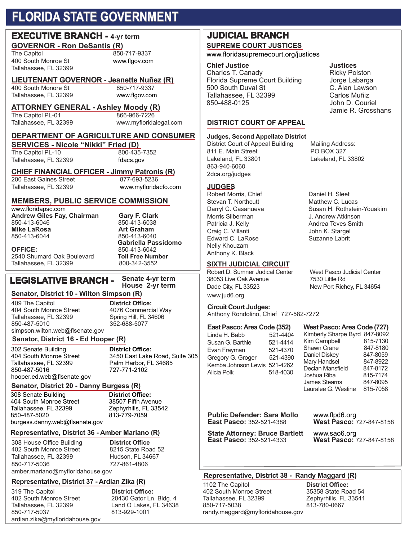## **FLORIDA STATE GOVERNMENT**

## **GOVERNOR - Ron DeSantis (R)**<br>The Capitol 850 **EXECUTIVE BRANCH - 4-yr term**

400 South Monroe St www.flgov.com Tallahassee, FL 32399

The Capitol 850-717-9337

## **LIEUTENANT GOVERNOR - Jeanette Nuñez (R)**

400 South Monore St

## Tallahassee, FL 32399 www.flgov.com

**ATTORNEY GENERAL - Ashley Moody (R)**  The Capitol PL-01

Tallahassee, FL 32399 www.myfloridalegal.com

#### **DEPARTMENT OF AGRICULTURE AND CONSUMER**

**SERVICES - Nicole "Nikki" Fried (D)**<br>The Capitol PL-10 800-435-7352 The Capitol PL-10 Tallahassee, FL 32399 fdacs.gov

## **CHIEF FINANCIAL OFFICER - Jimmy Patronis (R)**

200 East Gaines Street Tallahassee, FL 32399 www.myfloridacfo.com

### **MEMBERS, PUBLIC SERVICE COMMISSION**

www.floridapsc.com **Andrew Giles Fay, Chairman Gary F. Clark Mike LaRosa**<br>850-413-6044

2540 Shumard Oak Boulevard **Toll Free Number** Tallahassee, FL 32399

850-413-6038<br>Art Graham 850-413-6040 **Gabriella Passidomo** 850-413-6042<br>**Toll Free Number** 

## **LEGISLATIVE BRANCH -**

**Senate 4-yr term**

#### **Senator, District 10 - Wilton Simpson (R)**

409 The Capitol **District Office:** Tallahassee, FL 32399<br>850-487-5010 simpson.wilton.web@flsenate.gov

4076 Commercial Way<br>Spring Hill, FL 34606 352-688-5077

#### **Senator, District 16 - Ed Hooper (R)**

302 Senate Building **District Office:** Tallahassee, FL 32399 Palm Harbor, FL 34685 hooper.ed.web@flsenate.gov

404 South Monroe Street 3450 East Lake Road, Suite 305 850-487-5016 727-771-2102

#### **Senator, District 20 - Danny Burgess (R)**

308 Senate Building **District Office:** 404 South Monroe Street<br>Tallahassee. FL 32399 Tallahassee, FL 32399 Zephyrhills, FL 33542 burgess.danny.web@flsenate.gov

#### **Representative, District 36 - Amber Mariano (R)**

308 House Office Building **District Office** 402 South Monroe Street Tallahassee, FL 32399 Hudson, FL 34667 850-717-5036 727-861-4806 amber.mariano@myfloridahouse.gov

813-779-7059

## **Representative, District 37 - Ardian Zika (R)**

319 The Capitol **District Office:** Tallahassee, FL 32399<br>850-717-5037 ardian.zika@myfloridahouse.gov

20430 Gator Ln. Bldg. 4<br>Land O Lakes, FL 34638 813-929-1001

#### **SUPREME COURT JUSTICES JUDICIAL BRANCH**

#### www.floridasupremecourt.org/justices

**Chief Justice Chief School School School School School School School School School School School School School**<br>Charles T. Canady Charles T. Canady Charles T. Canady Building The Ricky Polston<br>Torida Supreme Court Building Building Building Buildings Florida Supreme Court Building *Jorge Labarga*<br>500 South Duval St **Building** C. Alan Lawson 500 South Duval St C. Alan Lawson<br>Tallahassee. FL 32399 Carlos Muñiz Tallahassee, FL 32399<br>850-488-0125

#### **DISTRICT COURT OF APPEAL**

#### **Judges, Second Appellate District**

District Court of Appeal Building Mailing Address: 811 E. Main Street PO BOX 327 863-940-6060 2dca.org/judges

#### **JUDGES**

Robert Morris, Chief Stevan T. Northcutt Darryl C. Casanueva Morris Silberman Patricia J. Kelly Craig C. Villanti Edward C. LaRose Nelly Khouzam Anthony K. Black

#### **SIXTH JUDICIAL CIRCUIT**

Robert D. Sumner Judical Center West Pasco Judicial Center 38053 Live Oak Avenue 7530 Little Rd Dade City, FL 33523 New Port Richey, FL 34654 www.jud6.org

#### **Circuit Court Judges:**

Anthony Rondolino, Chief 727-582-7272

## **East Pasco: Area Code (352)**

Linda H. Babb 521-4404<br>Susan G. Barthle 521-4414 Susan G. Barthle 521-4414<br>Fyan Frayman 521-4370 Evan Frayman 521-4370<br>Gregory G. Groger 521-4390 Gregory G. Groger Kemba Johnson Lewis 521-4262 Alicia Polk 518-4030

**Public Defender: Sara Mollo** *www.flpd6.org***<br>East Pasco: 352-521-4388 <b>West Pasco:** 7

**State Attorney: Bruce Bartlett** www.sao6.org

John D. Couriel Jamie R. Grosshans

Lakeland, FL 33802

Daniel H. Sleet Matthew C. Lucas Susan H. Rothstein-Youakim J. Andrew Atkinson Andrea Teves Smith John K. Stargel Suzanne Labrit

**West Pasco: Area Code (727)** Kimberly Sharpe Byrd 847-8092<br>Kim Campbell 815-7130 Kim Campbell 815-7130<br>Shawn Crane 847-8180 Shawn Crane 847-8180<br>Daniel Diskev 847-8059 Daniel Diskey 847-8059 Mary Handsel 847-8922 Declan Mansfield 847-8172<br>Joshua Riba 815-7174 Joshua Riba 815-7174 James Stearns 847-8095<br>Lauralee G. Westine 815-7058 Lauralee G. Westine

**East Pasco:** 352-521-4388 **West Pasco:** 727-847-8158

**East Pasco:** 352-521-4333 **West Pasco:** 727-847-8158

#### **Representative, District 38 - Randy Maggard (R)**

1102 The Capitol **District Office:** 402 South Monroe Street 35358 State Road 54<br>Tallahassee, FL 32399 2ephyrhills, FL 33541 Tallahassee, FL 32399 Zephyrhills, FL 32399 Zephyrhills, FL 33541<br>850-717-5038 313-780-0667 850-717-5038 randy.maggard@myfloridahouse.gov